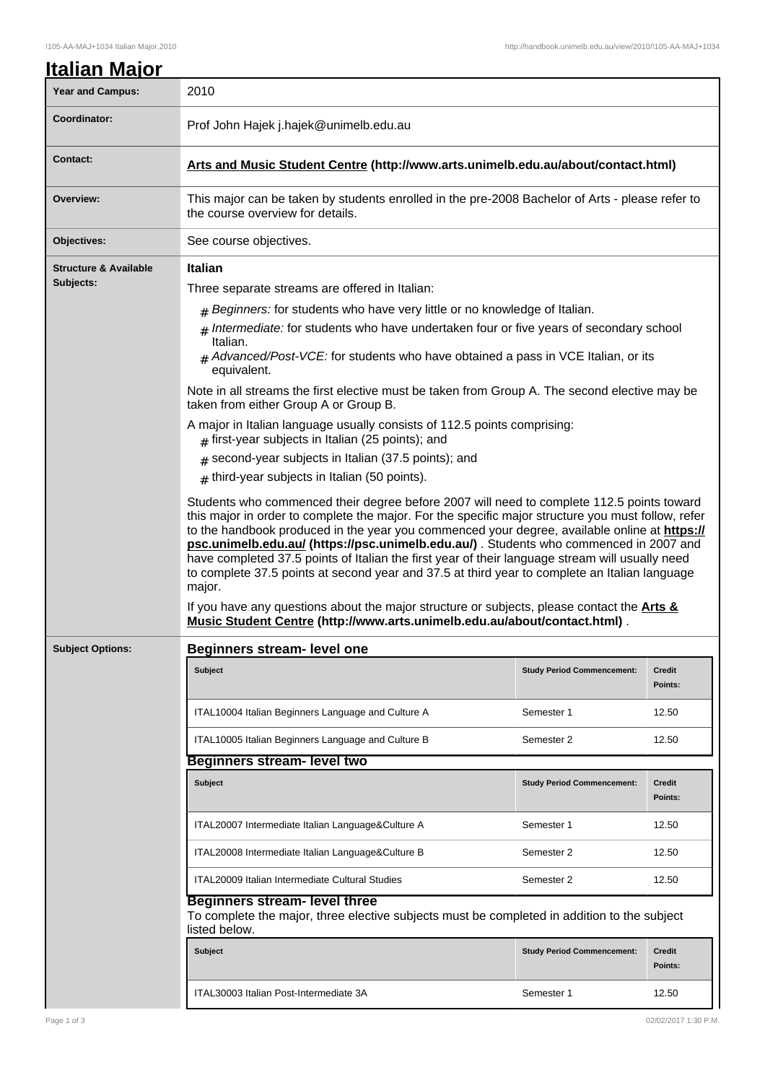| <b>Year and Campus:</b>                       | 2010                                                                                                                                                                                                                                                                                                                                                                                                                                                                                                                                                                                                                                                                                                                                                                                                                                                 |                                   |                          |  |  |
|-----------------------------------------------|------------------------------------------------------------------------------------------------------------------------------------------------------------------------------------------------------------------------------------------------------------------------------------------------------------------------------------------------------------------------------------------------------------------------------------------------------------------------------------------------------------------------------------------------------------------------------------------------------------------------------------------------------------------------------------------------------------------------------------------------------------------------------------------------------------------------------------------------------|-----------------------------------|--------------------------|--|--|
| Coordinator:                                  | Prof John Hajek j.hajek@unimelb.edu.au                                                                                                                                                                                                                                                                                                                                                                                                                                                                                                                                                                                                                                                                                                                                                                                                               |                                   |                          |  |  |
| <b>Contact:</b>                               | Arts and Music Student Centre (http://www.arts.unimelb.edu.au/about/contact.html)                                                                                                                                                                                                                                                                                                                                                                                                                                                                                                                                                                                                                                                                                                                                                                    |                                   |                          |  |  |
| Overview:                                     | This major can be taken by students enrolled in the pre-2008 Bachelor of Arts - please refer to<br>the course overview for details.                                                                                                                                                                                                                                                                                                                                                                                                                                                                                                                                                                                                                                                                                                                  |                                   |                          |  |  |
| Objectives:                                   | See course objectives.                                                                                                                                                                                                                                                                                                                                                                                                                                                                                                                                                                                                                                                                                                                                                                                                                               |                                   |                          |  |  |
| <b>Structure &amp; Available</b><br>Subjects: | <b>Italian</b><br>Three separate streams are offered in Italian:<br># Beginners: for students who have very little or no knowledge of Italian.<br>$#$ Intermediate: for students who have undertaken four or five years of secondary school<br>Italian.<br>$#$ Advanced/Post-VCE: for students who have obtained a pass in VCE Italian, or its<br>equivalent.<br>Note in all streams the first elective must be taken from Group A. The second elective may be<br>taken from either Group A or Group B.<br>A major in Italian language usually consists of 112.5 points comprising:<br>$#$ first-year subjects in Italian (25 points); and<br>$#$ second-year subjects in Italian (37.5 points); and<br>$#$ third-year subjects in Italian (50 points).<br>Students who commenced their degree before 2007 will need to complete 112.5 points toward |                                   |                          |  |  |
|                                               | this major in order to complete the major. For the specific major structure you must follow, refer<br>to the handbook produced in the year you commenced your degree, available online at https://<br>psc.unimelb.edu.au/ (https://psc.unimelb.edu.au/). Students who commenced in 2007 and<br>have completed 37.5 points of Italian the first year of their language stream will usually need<br>to complete 37.5 points at second year and 37.5 at third year to complete an Italian language<br>major.<br>If you have any questions about the major structure or subjects, please contact the Arts &<br>Music Student Centre (http://www.arts.unimelb.edu.au/about/contact.html).                                                                                                                                                                 |                                   |                          |  |  |
| <b>Subject Options:</b>                       | <b>Beginners stream- level one</b><br><b>Subject</b>                                                                                                                                                                                                                                                                                                                                                                                                                                                                                                                                                                                                                                                                                                                                                                                                 | <b>Study Period Commencement:</b> | <b>Credit</b>            |  |  |
|                                               |                                                                                                                                                                                                                                                                                                                                                                                                                                                                                                                                                                                                                                                                                                                                                                                                                                                      |                                   | Points:                  |  |  |
|                                               | ITAL10004 Italian Beginners Language and Culture A                                                                                                                                                                                                                                                                                                                                                                                                                                                                                                                                                                                                                                                                                                                                                                                                   | Semester 1                        | 12.50                    |  |  |
|                                               | ITAL10005 Italian Beginners Language and Culture B                                                                                                                                                                                                                                                                                                                                                                                                                                                                                                                                                                                                                                                                                                                                                                                                   | Semester 2                        | 12.50                    |  |  |
|                                               | <b>Beginners stream- level two</b>                                                                                                                                                                                                                                                                                                                                                                                                                                                                                                                                                                                                                                                                                                                                                                                                                   |                                   |                          |  |  |
|                                               | <b>Subject</b>                                                                                                                                                                                                                                                                                                                                                                                                                                                                                                                                                                                                                                                                                                                                                                                                                                       | <b>Study Period Commencement:</b> | <b>Credit</b><br>Points: |  |  |
|                                               | ITAL20007 Intermediate Italian Language&Culture A                                                                                                                                                                                                                                                                                                                                                                                                                                                                                                                                                                                                                                                                                                                                                                                                    | Semester 1                        | 12.50                    |  |  |
|                                               | ITAL20008 Intermediate Italian Language&Culture B                                                                                                                                                                                                                                                                                                                                                                                                                                                                                                                                                                                                                                                                                                                                                                                                    | Semester 2                        | 12.50                    |  |  |
|                                               | ITAL20009 Italian Intermediate Cultural Studies                                                                                                                                                                                                                                                                                                                                                                                                                                                                                                                                                                                                                                                                                                                                                                                                      | Semester 2                        | 12.50                    |  |  |
|                                               | <b>Beginners stream- level three</b><br>To complete the major, three elective subjects must be completed in addition to the subject<br>listed below.                                                                                                                                                                                                                                                                                                                                                                                                                                                                                                                                                                                                                                                                                                 |                                   |                          |  |  |
|                                               | <b>Subject</b>                                                                                                                                                                                                                                                                                                                                                                                                                                                                                                                                                                                                                                                                                                                                                                                                                                       | <b>Study Period Commencement:</b> | Credit<br>Points:        |  |  |
|                                               | ITAL30003 Italian Post-Intermediate 3A                                                                                                                                                                                                                                                                                                                                                                                                                                                                                                                                                                                                                                                                                                                                                                                                               | Semester 1                        | 12.50                    |  |  |
|                                               |                                                                                                                                                                                                                                                                                                                                                                                                                                                                                                                                                                                                                                                                                                                                                                                                                                                      |                                   |                          |  |  |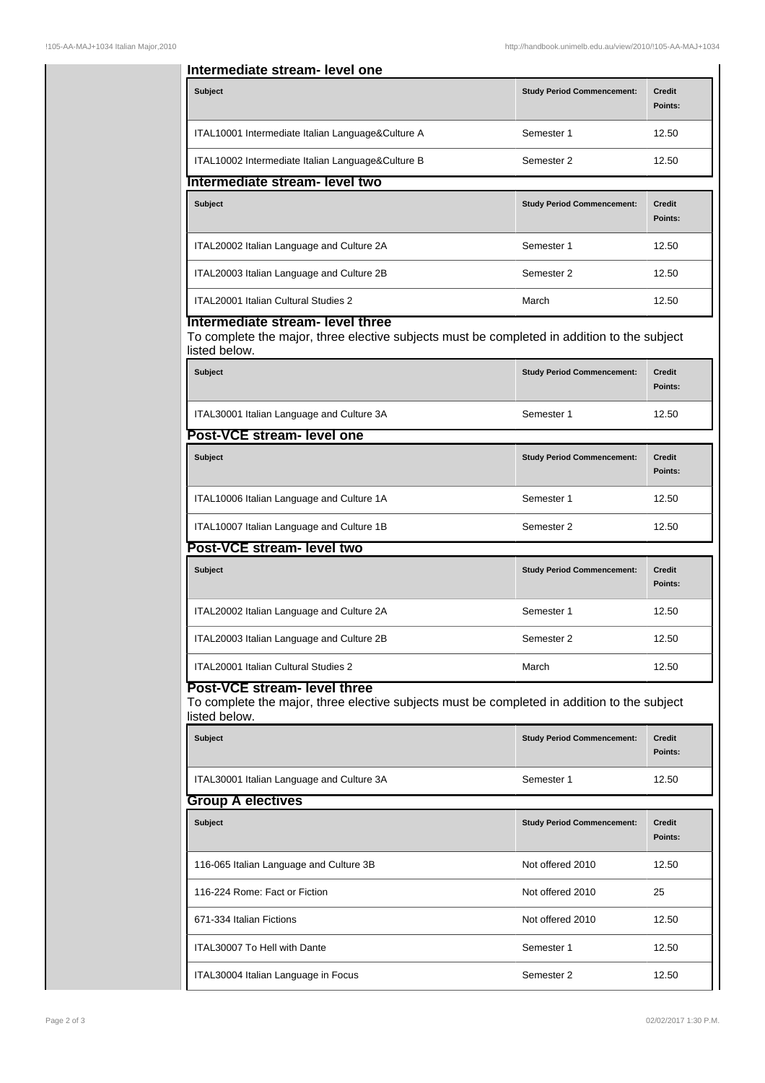| Intermediate stream- level one                                                                                                                                     |                                   |                          |  |  |  |  |
|--------------------------------------------------------------------------------------------------------------------------------------------------------------------|-----------------------------------|--------------------------|--|--|--|--|
| <b>Subject</b>                                                                                                                                                     | <b>Study Period Commencement:</b> | <b>Credit</b><br>Points: |  |  |  |  |
| ITAL10001 Intermediate Italian Language&Culture A                                                                                                                  | Semester 1                        | 12.50                    |  |  |  |  |
| ITAL10002 Intermediate Italian Language&Culture B                                                                                                                  | Semester 2                        | 12.50                    |  |  |  |  |
| Intermediate stream- level two                                                                                                                                     |                                   |                          |  |  |  |  |
| <b>Subject</b>                                                                                                                                                     | <b>Study Period Commencement:</b> | <b>Credit</b><br>Points: |  |  |  |  |
| ITAL20002 Italian Language and Culture 2A                                                                                                                          | Semester 1                        | 12.50                    |  |  |  |  |
| ITAL20003 Italian Language and Culture 2B                                                                                                                          | Semester 2                        | 12.50                    |  |  |  |  |
| ITAL20001 Italian Cultural Studies 2                                                                                                                               | March                             | 12.50                    |  |  |  |  |
| Intermediate stream- level three<br>To complete the major, three elective subjects must be completed in addition to the subject<br>listed below.<br><b>Subject</b> | <b>Study Period Commencement:</b> | <b>Credit</b>            |  |  |  |  |
|                                                                                                                                                                    |                                   | Points:                  |  |  |  |  |
| ITAL30001 Italian Language and Culture 3A                                                                                                                          | Semester 1                        | 12.50                    |  |  |  |  |
| Post-VCE stream- level one                                                                                                                                         |                                   |                          |  |  |  |  |
| <b>Subject</b>                                                                                                                                                     | <b>Study Period Commencement:</b> | <b>Credit</b><br>Points: |  |  |  |  |
| ITAL10006 Italian Language and Culture 1A                                                                                                                          | Semester 1                        | 12.50                    |  |  |  |  |
| ITAL10007 Italian Language and Culture 1B                                                                                                                          | Semester 2                        | 12.50                    |  |  |  |  |
| Post-VCE stream- level two                                                                                                                                         |                                   |                          |  |  |  |  |
| <b>Subject</b>                                                                                                                                                     | <b>Study Period Commencement:</b> | Credit<br>Points:        |  |  |  |  |
| ITAL20002 Italian Language and Culture 2A                                                                                                                          | Semester 1                        | 12.50                    |  |  |  |  |
| ITAL20003 Italian Language and Culture 2B                                                                                                                          | Semester 2                        | 12.50                    |  |  |  |  |
| ITAL20001 Italian Cultural Studies 2                                                                                                                               | March                             | 12.50                    |  |  |  |  |
| Post-VCE stream- level three<br>To complete the major, three elective subjects must be completed in addition to the subject<br>listed below.                       |                                   |                          |  |  |  |  |
| <b>Subject</b>                                                                                                                                                     | <b>Study Period Commencement:</b> | <b>Credit</b><br>Points: |  |  |  |  |
| ITAL30001 Italian Language and Culture 3A                                                                                                                          | Semester 1                        | 12.50                    |  |  |  |  |
| <b>Group A electives</b>                                                                                                                                           |                                   |                          |  |  |  |  |
| <b>Subject</b>                                                                                                                                                     | <b>Study Period Commencement:</b> | <b>Credit</b><br>Points: |  |  |  |  |
| 116-065 Italian Language and Culture 3B                                                                                                                            | Not offered 2010                  | 12.50                    |  |  |  |  |
| 116-224 Rome: Fact or Fiction                                                                                                                                      | Not offered 2010                  | 25                       |  |  |  |  |
| 671-334 Italian Fictions                                                                                                                                           | Not offered 2010                  | 12.50                    |  |  |  |  |
| ITAL30007 To Hell with Dante                                                                                                                                       | Semester 1                        | 12.50                    |  |  |  |  |
| ITAL30004 Italian Language in Focus                                                                                                                                | Semester 2                        | 12.50                    |  |  |  |  |
|                                                                                                                                                                    |                                   |                          |  |  |  |  |